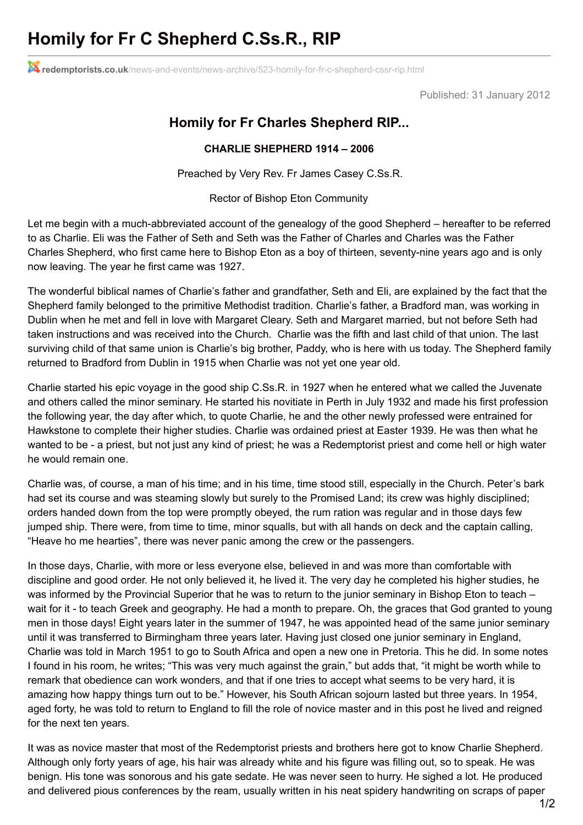## **Homily for Fr C Shepherd C.Ss.R., RIP**

**redemptorists.co.uk**[/news-and-events/news-archive/523-homily-for-fr-c-shepherd-cssr-rip.html](http://www.redemptorists.co.uk/news-and-events/news-archive/523-homily-for-fr-c-shepherd-cssr-rip.html)

Published: 31 January 2012

## **Homily for Fr Charles Shepherd RIP...**

## **CHARLIE SHEPHERD 1914 – 2006**

Preached by Very Rev. Fr James Casey C.Ss.R.

Rector of Bishop Eton Community

Let me begin with a much-abbreviated account of the genealogy of the good Shepherd – hereafter to be referred to as Charlie. Eli was the Father of Seth and Seth was the Father of Charles and Charles was the Father Charles Shepherd, who first came here to Bishop Eton as a boy of thirteen, seventy-nine years ago and is only now leaving. The year he first came was 1927.

The wonderful biblical names of Charlie's father and grandfather, Seth and Eli, are explained by the fact that the Shepherd family belonged to the primitive Methodist tradition. Charlie's father, a Bradford man, was working in Dublin when he met and fell in love with Margaret Cleary. Seth and Margaret married, but not before Seth had taken instructions and was received into the Church. Charlie was the fifth and last child of that union. The last surviving child of that same union is Charlie's big brother, Paddy, who is here with us today. The Shepherd family returned to Bradford from Dublin in 1915 when Charlie was not yet one year old.

Charlie started his epic voyage in the good ship C.Ss.R. in 1927 when he entered what we called the Juvenate and others called the minor seminary. He started his novitiate in Perth in July 1932 and made his first profession the following year, the day after which, to quote Charlie, he and the other newly professed were entrained for Hawkstone to complete their higher studies. Charlie was ordained priest at Easter 1939. He was then what he wanted to be - a priest, but not just any kind of priest; he was a Redemptorist priest and come hell or high water he would remain one.

Charlie was, of course, a man of his time; and in his time, time stood still, especially in the Church. Peter's bark had set its course and was steaming slowly but surely to the Promised Land; its crew was highly disciplined; orders handed down from the top were promptly obeyed, the rum ration was regular and in those days few jumped ship. There were, from time to time, minor squalls, but with all hands on deck and the captain calling, "Heave ho me hearties", there was never panic among the crew or the passengers.

In those days, Charlie, with more or less everyone else, believed in and was more than comfortable with discipline and good order. He not only believed it, he lived it. The very day he completed his higher studies, he was informed by the Provincial Superior that he was to return to the junior seminary in Bishop Eton to teach – wait for it - to teach Greek and geography. He had a month to prepare. Oh, the graces that God granted to young men in those days! Eight years later in the summer of 1947, he was appointed head of the same junior seminary until it was transferred to Birmingham three years later. Having just closed one junior seminary in England, Charlie was told in March 1951 to go to South Africa and open a new one in Pretoria. This he did. In some notes I found in his room, he writes; "This was very much against the grain," but adds that, "it might be worth while to remark that obedience can work wonders, and that if one tries to accept what seems to be very hard, it is amazing how happy things turn out to be." However, his South African sojourn lasted but three years. In 1954, aged forty, he was told to return to England to fill the role of novice master and in this post he lived and reigned for the next ten years.

It was as novice master that most of the Redemptorist priests and brothers here got to know Charlie Shepherd. Although only forty years of age, his hair was already white and his figure was filling out, so to speak. He was benign. His tone was sonorous and his gate sedate. He was never seen to hurry. He sighed a lot. He produced and delivered pious conferences by the ream, usually written in his neat spidery handwriting on scraps of paper